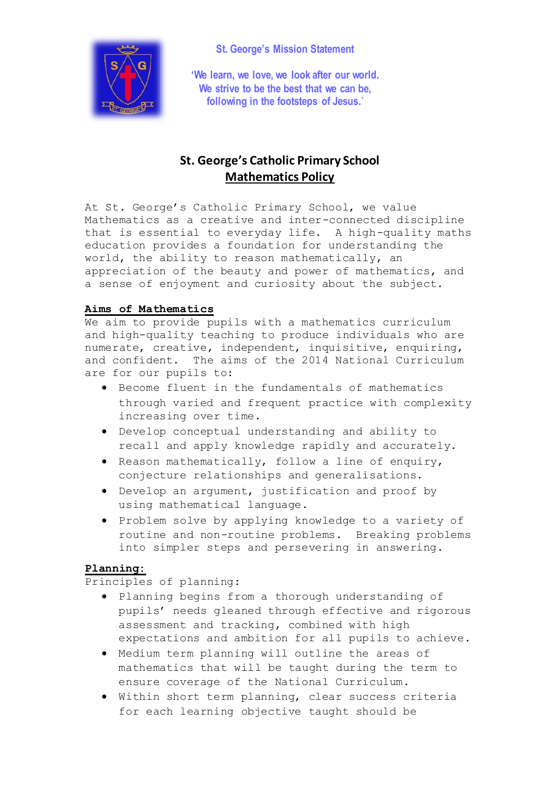

**St. George's Mission Statement**

**'We learn, we love, we look after our world. We strive to be the best that we can be, following in the footsteps of Jesus.**'

# **St. George's Catholic Primary School Mathematics Policy**

At St. George's Catholic Primary School, we value Mathematics as a creative and inter-connected discipline that is essential to everyday life. A high-quality maths education provides a foundation for understanding the world, the ability to reason mathematically, an appreciation of the beauty and power of mathematics, and a sense of enjoyment and curiosity about the subject.

## **Aims of Mathematics**

We aim to provide pupils with a mathematics curriculum and high-quality teaching to produce individuals who are numerate, creative, independent, inquisitive, enquiring, and confident. The aims of the 2014 National Curriculum are for our pupils to:

- Become fluent in the fundamentals of mathematics through varied and frequent practice with complexity increasing over time.
- Develop conceptual understanding and ability to recall and apply knowledge rapidly and accurately.
- Reason mathematically, follow a line of enquiry, conjecture relationships and generalisations.
- Develop an argument, justification and proof by using mathematical language.
- Problem solve by applying knowledge to a variety of routine and non-routine problems. Breaking problems into simpler steps and persevering in answering.

## **Planning:**

Principles of planning:

- Planning begins from a thorough understanding of pupils' needs gleaned through effective and rigorous assessment and tracking, combined with high expectations and ambition for all pupils to achieve.
- Medium term planning will outline the areas of mathematics that will be taught during the term to ensure coverage of the National Curriculum.
- Within short term planning, clear success criteria for each learning objective taught should be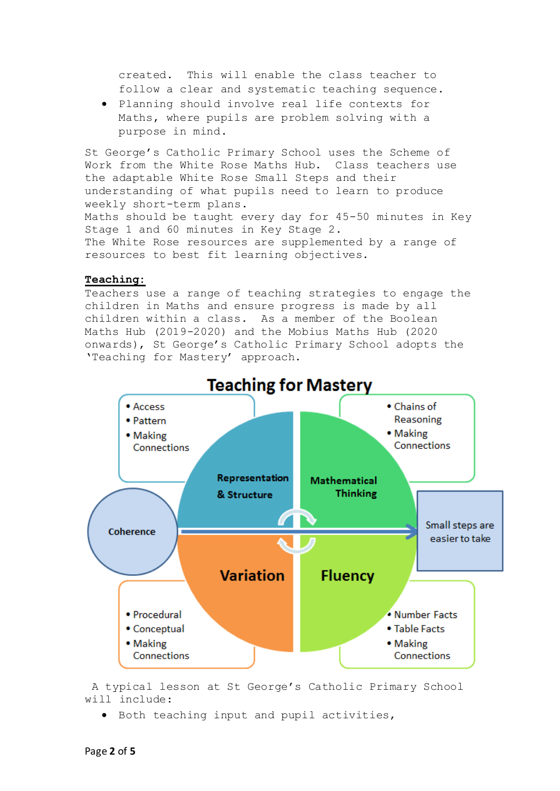created. This will enable the class teacher to follow a clear and systematic teaching sequence.

 Planning should involve real life contexts for Maths, where pupils are problem solving with a purpose in mind.

St George's Catholic Primary School uses the Scheme of Work from the White Rose Maths Hub. Class teachers use the adaptable White Rose Small Steps and their understanding of what pupils need to learn to produce weekly short-term plans. Maths should be taught every day for 45-50 minutes in Key Stage 1 and 60 minutes in Key Stage 2. The White Rose resources are supplemented by a range of resources to best fit learning objectives.

#### **Teaching:**

Teachers use a range of teaching strategies to engage the children in Maths and ensure progress is made by all children within a class. As a member of the Boolean Maths Hub (2019-2020) and the Mobius Maths Hub (2020 onwards), St George's Catholic Primary School adopts the 'Teaching for Mastery' approach.



A typical lesson at St George's Catholic Primary School will include:

Both teaching input and pupil activities,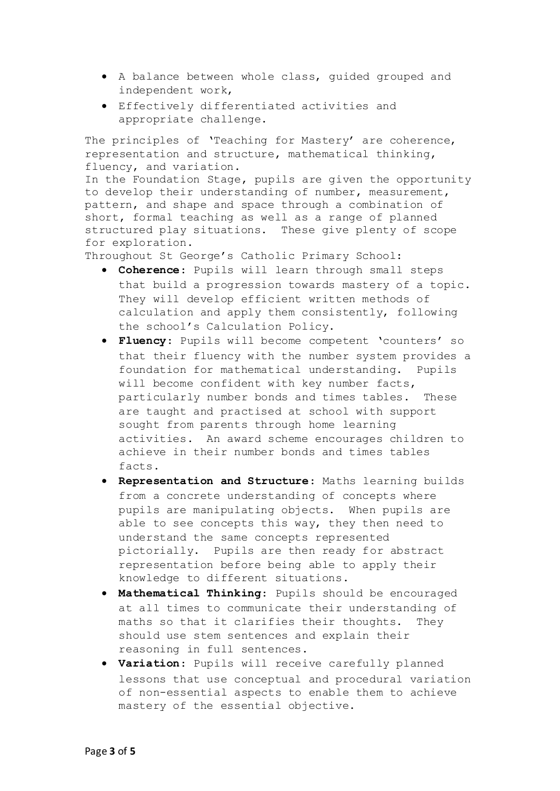- A balance between whole class, guided grouped and independent work,
- Effectively differentiated activities and appropriate challenge.

The principles of 'Teaching for Mastery' are coherence, representation and structure, mathematical thinking, fluency, and variation.

In the Foundation Stage, pupils are given the opportunity to develop their understanding of number, measurement, pattern, and shape and space through a combination of short, formal teaching as well as a range of planned structured play situations. These give plenty of scope for exploration.

Throughout St George's Catholic Primary School:

- **Coherence**: Pupils will learn through small steps that build a progression towards mastery of a topic. They will develop efficient written methods of calculation and apply them consistently, following the school's Calculation Policy.
- **Fluency**: Pupils will become competent 'counters' so that their fluency with the number system provides a foundation for mathematical understanding. Pupils will become confident with key number facts, particularly number bonds and times tables. These are taught and practised at school with support sought from parents through home learning activities. An award scheme encourages children to achieve in their number bonds and times tables facts.
- **Representation and Structure**: Maths learning builds from a concrete understanding of concepts where pupils are manipulating objects. When pupils are able to see concepts this way, they then need to understand the same concepts represented pictorially. Pupils are then ready for abstract representation before being able to apply their knowledge to different situations.
- **Mathematical Thinking**: Pupils should be encouraged at all times to communicate their understanding of maths so that it clarifies their thoughts. They should use stem sentences and explain their reasoning in full sentences.
- **Variation**: Pupils will receive carefully planned lessons that use conceptual and procedural variation of non-essential aspects to enable them to achieve mastery of the essential objective.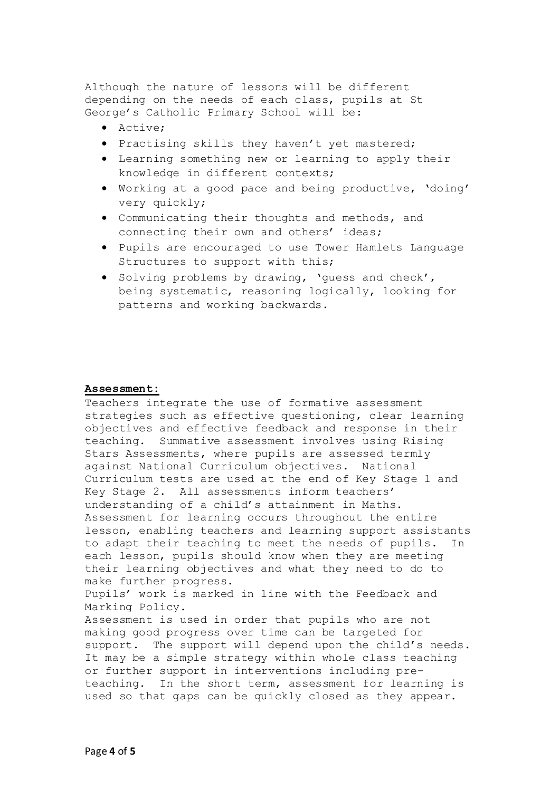Although the nature of lessons will be different depending on the needs of each class, pupils at St George's Catholic Primary School will be:

- Active;
- Practising skills they haven't yet mastered;
- Learning something new or learning to apply their knowledge in different contexts;
- Working at a good pace and being productive, 'doing' very quickly;
- Communicating their thoughts and methods, and connecting their own and others' ideas;
- Pupils are encouraged to use Tower Hamlets Language Structures to support with this;
- Solving problems by drawing, 'quess and check', being systematic, reasoning logically, looking for patterns and working backwards.

#### **Assessment:**

Teachers integrate the use of formative assessment strategies such as effective questioning, clear learning objectives and effective feedback and response in their teaching. Summative assessment involves using Rising Stars Assessments, where pupils are assessed termly against National Curriculum objectives. National Curriculum tests are used at the end of Key Stage 1 and Key Stage 2. All assessments inform teachers' understanding of a child's attainment in Maths. Assessment for learning occurs throughout the entire lesson, enabling teachers and learning support assistants to adapt their teaching to meet the needs of pupils. In each lesson, pupils should know when they are meeting their learning objectives and what they need to do to make further progress. Pupils' work is marked in line with the Feedback and Marking Policy. Assessment is used in order that pupils who are not making good progress over time can be targeted for support. The support will depend upon the child's needs. It may be a simple strategy within whole class teaching or further support in interventions including preteaching. In the short term, assessment for learning is used so that gaps can be quickly closed as they appear.